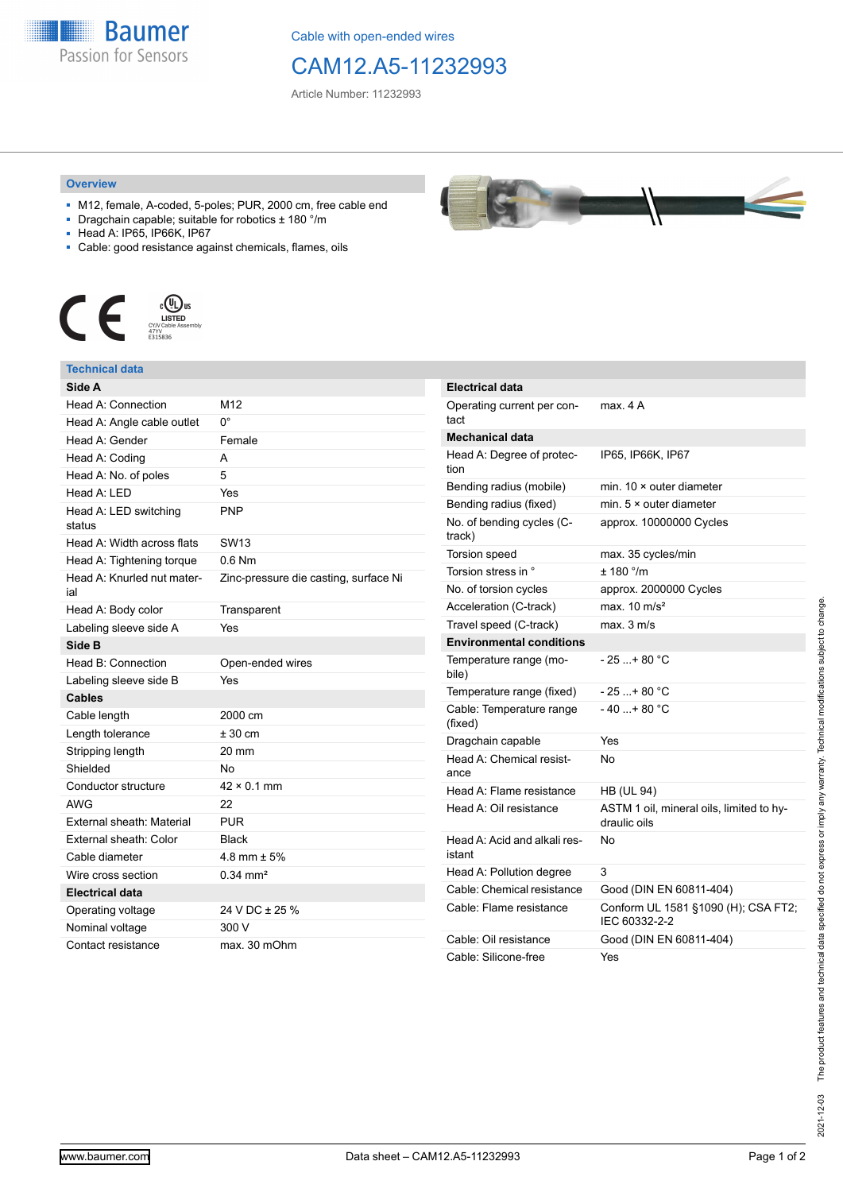**Baumer** Passion for Sensors

Cable with open-ended wires

# CAM12.A5-11232993

**Electrical data**

Article Number: 11232993

#### **Overview**

- M12, female, A-coded, 5-poles; PUR, 2000 cm, free cable end
- Dragchain capable; suitable for robotics ± 180 °/m
- Head A: IP65, IP66K, IP67
- Cable: good resistance against chemicals, flames, oils



### **Technical data**

| Side A                            |                                       |
|-----------------------------------|---------------------------------------|
| Head A: Connection                | M <sub>12</sub>                       |
| Head A: Angle cable outlet        | 0°                                    |
| Head A: Gender                    | Female                                |
| Head A: Coding                    | A                                     |
| Head A: No. of poles              | 5                                     |
| Head A: LED                       | Yes                                   |
| Head A: LED switching<br>status   | <b>PNP</b>                            |
| Head A: Width across flats        | <b>SW13</b>                           |
| Head A: Tightening torque         | $0.6$ Nm                              |
| Head A: Knurled nut mater-<br>ial | Zinc-pressure die casting, surface Ni |
| Head A: Body color                | Transparent                           |
| Labeling sleeve side A            | Yes                                   |
| Side B                            |                                       |
| Head B: Connection                | Open-ended wires                      |
| Labeling sleeve side B            | Yes                                   |
| <b>Cables</b>                     |                                       |
| Cable length                      | 2000 cm                               |
| Length tolerance                  | $± 30$ cm                             |
| Stripping length                  | 20 mm                                 |
| Shielded                          | No                                    |
| Conductor structure               | $42 \times 0.1$ mm                    |
| AWG                               | 22                                    |
| External sheath: Material         | <b>PUR</b>                            |
| External sheath: Color            | <b>Black</b>                          |
| Cable diameter                    | 4.8 mm $\pm$ 5%                       |
| Wire cross section                | $0.34 \text{ mm}^2$                   |
| <b>Electrical data</b>            |                                       |
| Operating voltage                 | 24 V DC ± 25 %                        |
| Nominal voltage                   | 300 V                                 |
| Contact resistance                | max. 30 mOhm                          |

| Electrical data                        |                                                          |
|----------------------------------------|----------------------------------------------------------|
| Operating current per con-<br>tact     | max. 4 A                                                 |
| <b>Mechanical data</b>                 |                                                          |
| Head A: Degree of protec-<br>tion      | IP65, IP66K, IP67                                        |
| Bending radius (mobile)                | min. $10 \times$ outer diameter                          |
| Bending radius (fixed)                 | min. $5 \times$ outer diameter                           |
| No. of bending cycles (C-<br>track)    | approx. 10000000 Cycles                                  |
| Torsion speed                          | max. 35 cycles/min                                       |
| Torsion stress in °                    | ± 180 °/m                                                |
| No. of torsion cycles                  | approx. 2000000 Cycles                                   |
| Acceleration (C-track)                 | max. $10 \text{ m/s}^2$                                  |
| Travel speed (C-track)                 | max. 3 m/s                                               |
| <b>Environmental conditions</b>        |                                                          |
| Temperature range (mo-<br>bile)        | - 25 + 80 °C                                             |
| Temperature range (fixed)              | - 25 + 80 °C                                             |
| Cable: Temperature range<br>(fixed)    | $-40+80 °C$                                              |
| Dragchain capable                      | Yes                                                      |
| Head A: Chemical resist-<br>ance       | No                                                       |
| Head A: Flame resistance               | <b>HB (UL 94)</b>                                        |
| Head A: Oil resistance                 | ASTM 1 oil, mineral oils, limited to hy-<br>draulic oils |
| Head A: Acid and alkali res-<br>istant | No                                                       |
| Head A: Pollution degree               | 3                                                        |
| Cable: Chemical resistance             | Good (DIN EN 60811-404)                                  |
| Cable: Flame resistance                | Conform UL 1581 §1090 (H); CSA FT2;<br>IEC 60332-2-2     |
| Cable: Oil resistance                  | Good (DIN EN 60811-404)                                  |
| Cable: Silicone-free                   | Yes                                                      |